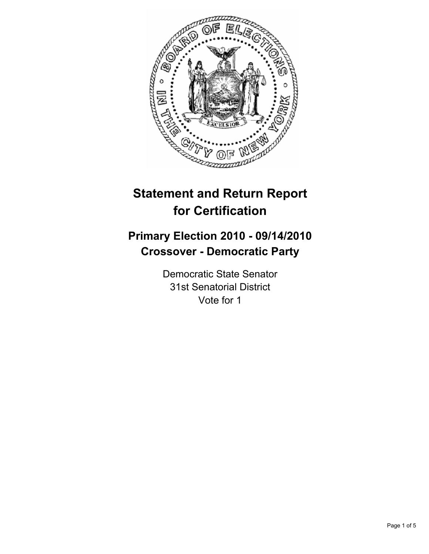

# **Statement and Return Report for Certification**

## **Primary Election 2010 - 09/14/2010 Crossover - Democratic Party**

Democratic State Senator 31st Senatorial District Vote for 1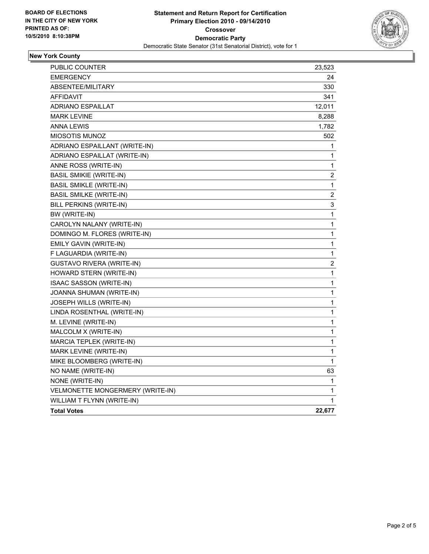

#### **New York County**

| <b>PUBLIC COUNTER</b>            | 23,523           |
|----------------------------------|------------------|
| <b>EMERGENCY</b>                 | 24               |
| ABSENTEE/MILITARY                | 330              |
| <b>AFFIDAVIT</b>                 | 341              |
| <b>ADRIANO ESPAILLAT</b>         | 12,011           |
| <b>MARK LEVINE</b>               | 8,288            |
| <b>ANNA LEWIS</b>                | 1,782            |
| MIOSOTIS MUNOZ                   | 502              |
| ADRIANO ESPAILLANT (WRITE-IN)    | 1                |
| ADRIANO ESPAILLAT (WRITE-IN)     | 1                |
| ANNE ROSS (WRITE-IN)             | 1                |
| <b>BASIL SMIKIE (WRITE-IN)</b>   | $\boldsymbol{2}$ |
| BASIL SMIKLE (WRITE-IN)          | 1                |
| <b>BASIL SMILKE (WRITE-IN)</b>   | $\overline{c}$   |
| BILL PERKINS (WRITE-IN)          | 3                |
| BW (WRITE-IN)                    | 1                |
| CAROLYN NALANY (WRITE-IN)        | 1                |
| DOMINGO M. FLORES (WRITE-IN)     | 1                |
| EMILY GAVIN (WRITE-IN)           | 1                |
| F LAGUARDIA (WRITE-IN)           | 1                |
| <b>GUSTAVO RIVERA (WRITE-IN)</b> | 2                |
| HOWARD STERN (WRITE-IN)          | 1                |
| ISAAC SASSON (WRITE-IN)          | 1                |
| JOANNA SHUMAN (WRITE-IN)         | 1                |
| JOSEPH WILLS (WRITE-IN)          | 1                |
| LINDA ROSENTHAL (WRITE-IN)       | 1                |
| M. LEVINE (WRITE-IN)             | 1                |
| MALCOLM X (WRITE-IN)             | $\mathbf{1}$     |
| MARCIA TEPLEK (WRITE-IN)         | 1                |
| MARK LEVINE (WRITE-IN)           | 1                |
| MIKE BLOOMBERG (WRITE-IN)        | 1                |
| NO NAME (WRITE-IN)               | 63               |
| NONE (WRITE-IN)                  | 1                |
| VELMONETTE MONGERMERY (WRITE-IN) | 1                |
| WILLIAM T FLYNN (WRITE-IN)       | 1                |
| <b>Total Votes</b>               | 22,677           |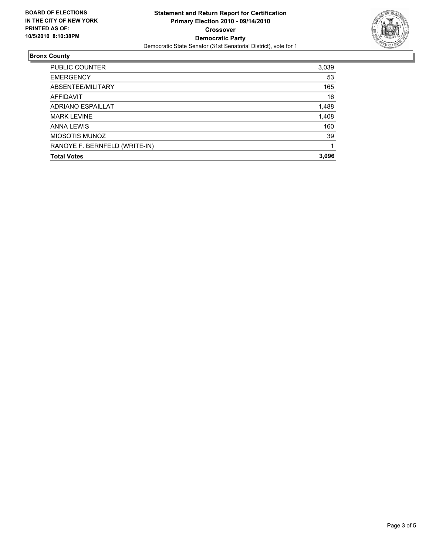

#### **Bronx County**

| PUBLIC COUNTER                | 3,039 |
|-------------------------------|-------|
| <b>EMERGENCY</b>              | 53    |
| ABSENTEE/MILITARY             | 165   |
| AFFIDAVIT                     | 16    |
| ADRIANO ESPAILLAT             | 1,488 |
| <b>MARK LEVINE</b>            | 1,408 |
| <b>ANNA LEWIS</b>             | 160   |
| <b>MIOSOTIS MUNOZ</b>         | 39    |
| RANOYE F. BERNFELD (WRITE-IN) |       |
| <b>Total Votes</b>            | 3.096 |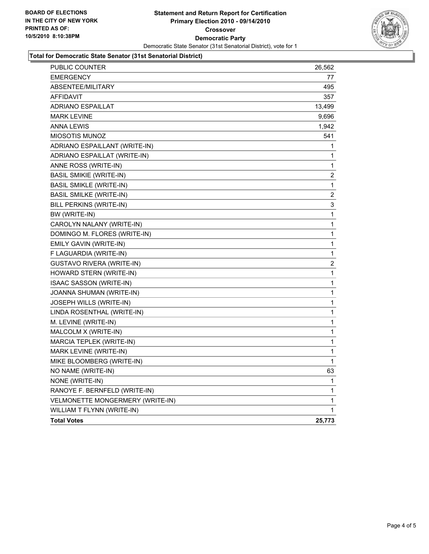

#### **Total for Democratic State Senator (31st Senatorial District)**

| <b>PUBLIC COUNTER</b>            | 26,562 |
|----------------------------------|--------|
| <b>EMERGENCY</b>                 | 77     |
| <b>ABSENTEE/MILITARY</b>         | 495    |
| <b>AFFIDAVIT</b>                 | 357    |
| <b>ADRIANO ESPAILLAT</b>         | 13,499 |
| <b>MARK LEVINE</b>               | 9,696  |
| <b>ANNA LEWIS</b>                | 1,942  |
| <b>MIOSOTIS MUNOZ</b>            | 541    |
| ADRIANO ESPAILLANT (WRITE-IN)    | 1      |
| ADRIANO ESPAILLAT (WRITE-IN)     | 1      |
| ANNE ROSS (WRITE-IN)             | 1      |
| <b>BASIL SMIKIE (WRITE-IN)</b>   | 2      |
| <b>BASIL SMIKLE (WRITE-IN)</b>   | 1      |
| <b>BASIL SMILKE (WRITE-IN)</b>   | 2      |
| BILL PERKINS (WRITE-IN)          | 3      |
| BW (WRITE-IN)                    | 1      |
| CAROLYN NALANY (WRITE-IN)        | 1      |
| DOMINGO M. FLORES (WRITE-IN)     | 1      |
| EMILY GAVIN (WRITE-IN)           | 1      |
| F LAGUARDIA (WRITE-IN)           | 1      |
| <b>GUSTAVO RIVERA (WRITE-IN)</b> | 2      |
| HOWARD STERN (WRITE-IN)          | 1      |
| ISAAC SASSON (WRITE-IN)          | 1      |
| JOANNA SHUMAN (WRITE-IN)         | 1      |
| JOSEPH WILLS (WRITE-IN)          | 1      |
| LINDA ROSENTHAL (WRITE-IN)       | 1      |
| M. LEVINE (WRITE-IN)             | 1      |
| MALCOLM X (WRITE-IN)             | 1      |
| MARCIA TEPLEK (WRITE-IN)         | 1      |
| MARK LEVINE (WRITE-IN)           | 1      |
| MIKE BLOOMBERG (WRITE-IN)        | 1      |
| NO NAME (WRITE-IN)               | 63     |
| NONE (WRITE-IN)                  | 1      |
| RANOYE F. BERNFELD (WRITE-IN)    | 1      |
| VELMONETTE MONGERMERY (WRITE-IN) | 1      |
| WILLIAM T FLYNN (WRITE-IN)       | 1      |
| <b>Total Votes</b>               | 25,773 |